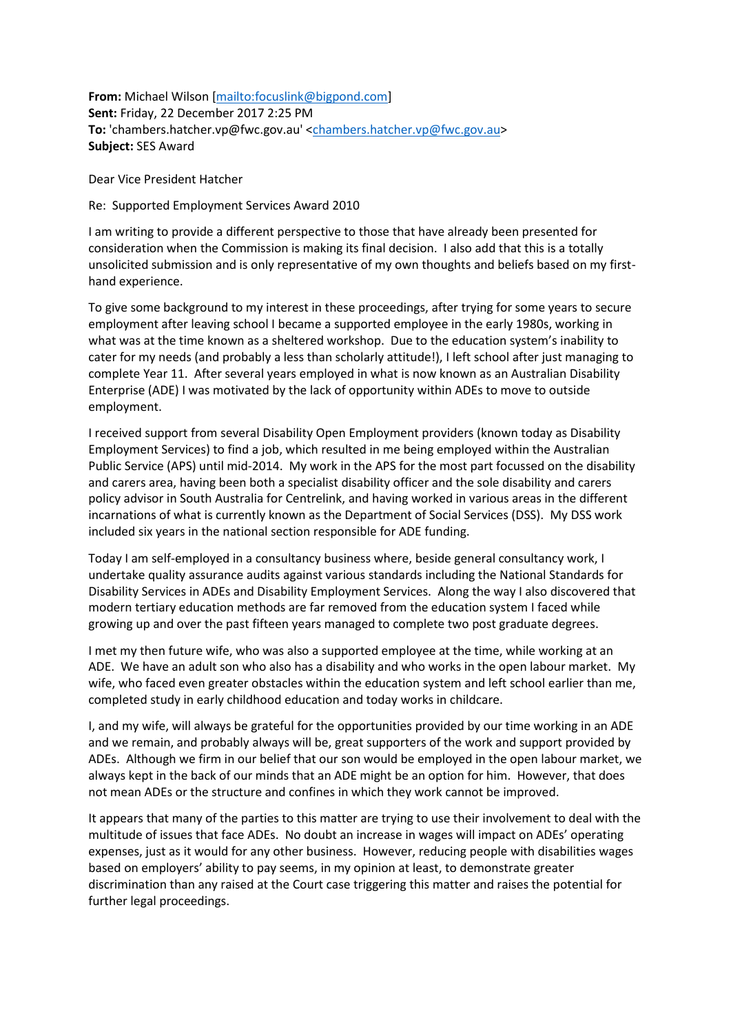**From:** Michael Wilson [\[mailto:focuslink@bigpond.com\]](mailto:focuslink@bigpond.com) **Sent:** Friday, 22 December 2017 2:25 PM **To:** 'chambers.hatcher.vp@fwc.gov.au' [<chambers.hatcher.vp@fwc.gov.au>](mailto:chambers.hatcher.vp@fwc.gov.au) **Subject:** SES Award

Dear Vice President Hatcher

Re: Supported Employment Services Award 2010

I am writing to provide a different perspective to those that have already been presented for consideration when the Commission is making its final decision. I also add that this is a totally unsolicited submission and is only representative of my own thoughts and beliefs based on my firsthand experience.

To give some background to my interest in these proceedings, after trying for some years to secure employment after leaving school I became a supported employee in the early 1980s, working in what was at the time known as a sheltered workshop. Due to the education system's inability to cater for my needs (and probably a less than scholarly attitude!), I left school after just managing to complete Year 11. After several years employed in what is now known as an Australian Disability Enterprise (ADE) I was motivated by the lack of opportunity within ADEs to move to outside employment.

I received support from several Disability Open Employment providers (known today as Disability Employment Services) to find a job, which resulted in me being employed within the Australian Public Service (APS) until mid-2014. My work in the APS for the most part focussed on the disability and carers area, having been both a specialist disability officer and the sole disability and carers policy advisor in South Australia for Centrelink, and having worked in various areas in the different incarnations of what is currently known as the Department of Social Services (DSS). My DSS work included six years in the national section responsible for ADE funding.

Today I am self-employed in a consultancy business where, beside general consultancy work, I undertake quality assurance audits against various standards including the National Standards for Disability Services in ADEs and Disability Employment Services. Along the way I also discovered that modern tertiary education methods are far removed from the education system I faced while growing up and over the past fifteen years managed to complete two post graduate degrees.

I met my then future wife, who was also a supported employee at the time, while working at an ADE. We have an adult son who also has a disability and who works in the open labour market. My wife, who faced even greater obstacles within the education system and left school earlier than me, completed study in early childhood education and today works in childcare.

I, and my wife, will always be grateful for the opportunities provided by our time working in an ADE and we remain, and probably always will be, great supporters of the work and support provided by ADEs. Although we firm in our belief that our son would be employed in the open labour market, we always kept in the back of our minds that an ADE might be an option for him. However, that does not mean ADEs or the structure and confines in which they work cannot be improved.

It appears that many of the parties to this matter are trying to use their involvement to deal with the multitude of issues that face ADEs. No doubt an increase in wages will impact on ADEs' operating expenses, just as it would for any other business. However, reducing people with disabilities wages based on employers' ability to pay seems, in my opinion at least, to demonstrate greater discrimination than any raised at the Court case triggering this matter and raises the potential for further legal proceedings.